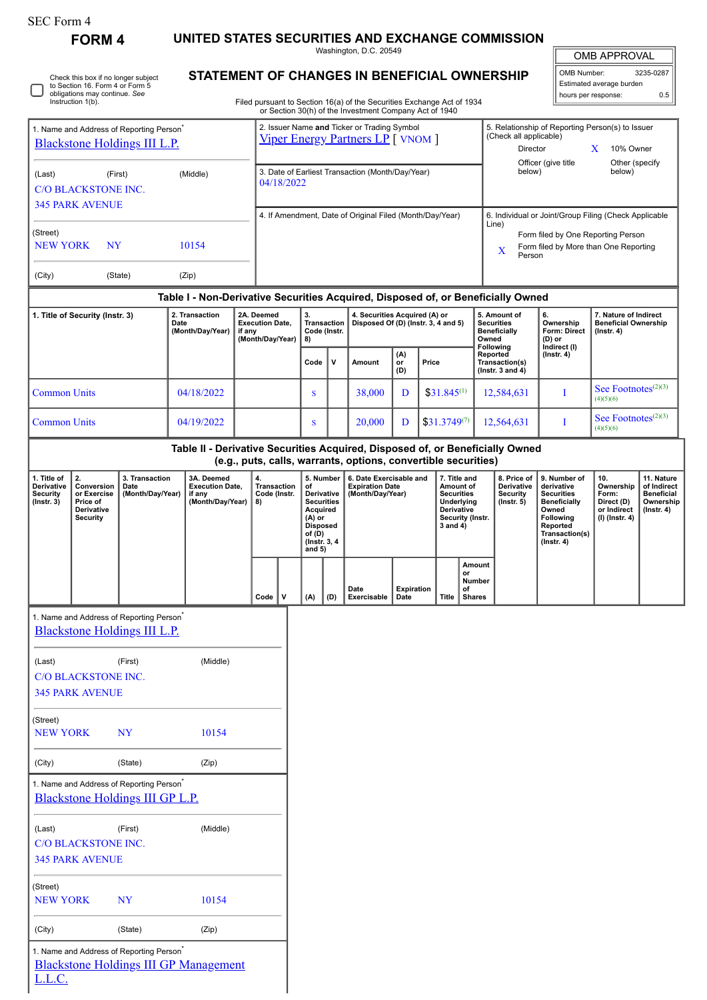| SEC Form 4 |  |
|------------|--|
|------------|--|

∩

Check this box if no longer subject to Section 16. Form 4 or Form 5 obligations may continue. *See* Instruction 1(b).

[Blackstone Holdings III GP Management](http://www.sec.gov/cgi-bin/browse-edgar?action=getcompany&CIK=0001478815)

L.L.C.

**FORM 4 UNITED STATES SECURITIES AND EXCHANGE COMMISSION**

Washington, D.C. 20549 **STATEMENT OF CHANGES IN BENEFICIAL OWNERSHIP**

| <b>OMB APPROVAL</b>      |           |  |  |  |  |  |
|--------------------------|-----------|--|--|--|--|--|
| <b>OMB Number:</b>       | 3235-0287 |  |  |  |  |  |
| Estimated average burden |           |  |  |  |  |  |

hours per response: 0.5

Filed pursuant to Section 16(a) of the Securities Exchange Act of 1934 or Section 30(h) of the Investment Company Act of 1940

| 1. Name and Address of Reporting Person <sup>7</sup><br>Blackstone Holdings III L.P.    |                                                                       |                                                                                         |                      |                                                          | 2. Issuer Name and Ticker or Trading Symbol<br><b>Viper Energy Partners LP</b> [ VNOM ] |                                    |                                                                                                                                                          |                                                               |                                                                                                                                                 |                              | 5. Relationship of Reporting Person(s) to Issuer<br>(Check all applicable)<br>Director<br>X<br>10% Owner<br>Officer (give title<br>Other (specify<br>below)<br>below) |                                                                                                                |                                                          |                                                                  |                                                                          |                                                                                                                                                |                                                                          |                                                                                 |
|-----------------------------------------------------------------------------------------|-----------------------------------------------------------------------|-----------------------------------------------------------------------------------------|----------------------|----------------------------------------------------------|-----------------------------------------------------------------------------------------|------------------------------------|----------------------------------------------------------------------------------------------------------------------------------------------------------|---------------------------------------------------------------|-------------------------------------------------------------------------------------------------------------------------------------------------|------------------------------|-----------------------------------------------------------------------------------------------------------------------------------------------------------------------|----------------------------------------------------------------------------------------------------------------|----------------------------------------------------------|------------------------------------------------------------------|--------------------------------------------------------------------------|------------------------------------------------------------------------------------------------------------------------------------------------|--------------------------------------------------------------------------|---------------------------------------------------------------------------------|
| (First)<br>(Middle)<br>(Last)<br><b>C/O BLACKSTONE INC.</b>                             |                                                                       |                                                                                         |                      |                                                          | 3. Date of Earliest Transaction (Month/Day/Year)<br>04/18/2022                          |                                    |                                                                                                                                                          |                                                               |                                                                                                                                                 |                              |                                                                                                                                                                       |                                                                                                                |                                                          |                                                                  |                                                                          |                                                                                                                                                |                                                                          |                                                                                 |
|                                                                                         | <b>345 PARK AVENUE</b>                                                |                                                                                         |                      |                                                          |                                                                                         |                                    |                                                                                                                                                          |                                                               | 4. If Amendment, Date of Original Filed (Month/Day/Year)                                                                                        |                              |                                                                                                                                                                       |                                                                                                                |                                                          |                                                                  |                                                                          | 6. Individual or Joint/Group Filing (Check Applicable                                                                                          |                                                                          |                                                                                 |
| (Street)<br>10154<br><b>NEW YORK</b><br>NY                                              |                                                                       |                                                                                         |                      |                                                          |                                                                                         |                                    |                                                                                                                                                          |                                                               |                                                                                                                                                 |                              | Line)<br>Form filed by One Reporting Person<br>Form filed by More than One Reporting<br>$\mathbf X$<br>Person                                                         |                                                                                                                |                                                          |                                                                  |                                                                          |                                                                                                                                                |                                                                          |                                                                                 |
| (City)                                                                                  |                                                                       | (State)                                                                                 | (Zip)                |                                                          |                                                                                         |                                    |                                                                                                                                                          |                                                               |                                                                                                                                                 |                              |                                                                                                                                                                       |                                                                                                                |                                                          |                                                                  |                                                                          |                                                                                                                                                |                                                                          |                                                                                 |
| 2. Transaction<br>1. Title of Security (Instr. 3)<br>Date<br>(Month/Day/Year)<br>if any |                                                                       |                                                                                         |                      | 2A. Deemed<br><b>Execution Date,</b><br>(Month/Day/Year) |                                                                                         | <b>Transaction</b><br>Code (Instr. | Table I - Non-Derivative Securities Acquired, Disposed of, or Beneficially Owned<br>4. Securities Acquired (A) or<br>Disposed Of (D) (Instr. 3, 4 and 5) |                                                               |                                                                                                                                                 |                              |                                                                                                                                                                       | Owned                                                                                                          | 5. Amount of<br><b>Securities</b><br><b>Beneficially</b> | 6.<br>Ownership<br>Form: Direct<br>(D) or                        | 7. Nature of Indirect<br><b>Beneficial Ownership</b><br>$($ Instr. 4 $)$ |                                                                                                                                                |                                                                          |                                                                                 |
|                                                                                         |                                                                       |                                                                                         |                      |                                                          |                                                                                         |                                    | 8)<br>Code                                                                                                                                               | v                                                             | Amount                                                                                                                                          | $_{\rm or}^{\rm (A)}$<br>(D) | Price                                                                                                                                                                 |                                                                                                                |                                                          | Following<br>Reported<br>Transaction(s)<br>( $lnstr. 3 and 4$ )  |                                                                          | Indirect (I)<br>$($ Instr. 4 $)$                                                                                                               |                                                                          |                                                                                 |
| <b>Common Units</b>                                                                     |                                                                       |                                                                                         | 04/18/2022           |                                                          |                                                                                         |                                    | S                                                                                                                                                        |                                                               | 38,000                                                                                                                                          | D                            |                                                                                                                                                                       | $$31.845^{(1)}$                                                                                                |                                                          |                                                                  | 12,584,631                                                               | I                                                                                                                                              | See Footnotes <sup>(2)(3)</sup><br>(4)(5)(6)                             |                                                                                 |
| <b>Common Units</b>                                                                     |                                                                       |                                                                                         | 04/19/2022           |                                                          |                                                                                         |                                    | S                                                                                                                                                        |                                                               | 20,000                                                                                                                                          | D                            |                                                                                                                                                                       | $$31.3749^{(7)}$                                                                                               |                                                          |                                                                  | 12,564,631                                                               | I                                                                                                                                              | See Footnotes <sup>(2)(3)</sup><br>(4)(5)(6)                             |                                                                                 |
|                                                                                         |                                                                       |                                                                                         |                      |                                                          |                                                                                         |                                    |                                                                                                                                                          |                                                               | Table II - Derivative Securities Acquired, Disposed of, or Beneficially Owned<br>(e.g., puts, calls, warrants, options, convertible securities) |                              |                                                                                                                                                                       |                                                                                                                |                                                          |                                                                  |                                                                          |                                                                                                                                                |                                                                          |                                                                                 |
| 1. Title of<br>Derivative<br><b>Security</b><br>$($ Instr. 3 $)$                        | 2.<br>Conversion<br>or Exercise<br>Price of<br>Derivative<br>Security | 3. Transaction<br>Date<br>(Month/Day/Year)                                              | 3A. Deemed<br>if any | <b>Execution Date,</b><br>(Month/Day/Year)               | 4.<br>8)                                                                                | <b>Transaction</b><br>Code (Instr. | of<br>Acquired<br>$(A)$ or<br><b>Disposed</b><br>of (D)<br>and $5)$                                                                                      | 5. Number<br>Derivative<br><b>Securities</b><br>(Instr. 3, 4) | 6. Date Exercisable and<br><b>Expiration Date</b><br>(Month/Day/Year)                                                                           |                              |                                                                                                                                                                       | 7. Title and<br>Amount of<br><b>Securities</b><br>Underlying<br>Derivative<br>Security (Instr.<br>$3$ and $4)$ |                                                          | 8. Price of<br>Derivative<br><b>Security</b><br>$($ Instr. 5 $)$ |                                                                          | 9. Number of<br>derivative<br><b>Securities</b><br><b>Beneficially</b><br>Owned<br>Following<br>Reported<br>Transaction(s)<br>$($ Instr. 4 $)$ | 10.<br>Ownership<br>Form:<br>Direct (D)<br>or Indirect<br>(I) (Instr. 4) | 11. Nature<br>of Indirect<br><b>Beneficial</b><br>Ownership<br>$($ lnstr. 4 $)$ |
|                                                                                         |                                                                       |                                                                                         |                      |                                                          | Code                                                                                    | v                                  | (A)                                                                                                                                                      | (D)                                                           | Date<br>Exercisable                                                                                                                             | <b>Expiration</b><br>Date    |                                                                                                                                                                       | <b>Title</b>                                                                                                   | Amount<br>or<br><b>Number</b><br>of<br><b>Shares</b>     |                                                                  |                                                                          |                                                                                                                                                |                                                                          |                                                                                 |
|                                                                                         |                                                                       | 1. Name and Address of Reporting Person <sup>7</sup><br>Blackstone Holdings III L.P.    |                      |                                                          |                                                                                         |                                    |                                                                                                                                                          |                                                               |                                                                                                                                                 |                              |                                                                                                                                                                       |                                                                                                                |                                                          |                                                                  |                                                                          |                                                                                                                                                |                                                                          |                                                                                 |
| (Last)                                                                                  | <b>C/O BLACKSTONE INC.</b><br><b>345 PARK AVENUE</b>                  | (First)                                                                                 |                      | (Middle)                                                 |                                                                                         |                                    |                                                                                                                                                          |                                                               |                                                                                                                                                 |                              |                                                                                                                                                                       |                                                                                                                |                                                          |                                                                  |                                                                          |                                                                                                                                                |                                                                          |                                                                                 |
| (Street)<br><b>NEW YORK</b>                                                             |                                                                       | <b>NY</b>                                                                               | 10154                |                                                          |                                                                                         |                                    |                                                                                                                                                          |                                                               |                                                                                                                                                 |                              |                                                                                                                                                                       |                                                                                                                |                                                          |                                                                  |                                                                          |                                                                                                                                                |                                                                          |                                                                                 |
| (City)                                                                                  |                                                                       | (State)                                                                                 | (Zip)                |                                                          |                                                                                         |                                    |                                                                                                                                                          |                                                               |                                                                                                                                                 |                              |                                                                                                                                                                       |                                                                                                                |                                                          |                                                                  |                                                                          |                                                                                                                                                |                                                                          |                                                                                 |
|                                                                                         |                                                                       | 1. Name and Address of Reporting Person <sup>*</sup><br>Blackstone Holdings III GP L.P. |                      |                                                          |                                                                                         |                                    |                                                                                                                                                          |                                                               |                                                                                                                                                 |                              |                                                                                                                                                                       |                                                                                                                |                                                          |                                                                  |                                                                          |                                                                                                                                                |                                                                          |                                                                                 |
| (Last)                                                                                  | <b>C/O BLACKSTONE INC.</b><br><b>345 PARK AVENUE</b>                  | (First)                                                                                 |                      | (Middle)                                                 |                                                                                         |                                    |                                                                                                                                                          |                                                               |                                                                                                                                                 |                              |                                                                                                                                                                       |                                                                                                                |                                                          |                                                                  |                                                                          |                                                                                                                                                |                                                                          |                                                                                 |
| (Street)<br><b>NEW YORK</b>                                                             |                                                                       | <b>NY</b>                                                                               | 10154                |                                                          |                                                                                         |                                    |                                                                                                                                                          |                                                               |                                                                                                                                                 |                              |                                                                                                                                                                       |                                                                                                                |                                                          |                                                                  |                                                                          |                                                                                                                                                |                                                                          |                                                                                 |
| (City)                                                                                  |                                                                       | (State)                                                                                 | (Zip)                |                                                          |                                                                                         |                                    |                                                                                                                                                          |                                                               |                                                                                                                                                 |                              |                                                                                                                                                                       |                                                                                                                |                                                          |                                                                  |                                                                          |                                                                                                                                                |                                                                          |                                                                                 |
|                                                                                         |                                                                       | 1. Name and Address of Reporting Person <sup>®</sup>                                    |                      |                                                          |                                                                                         |                                    |                                                                                                                                                          |                                                               |                                                                                                                                                 |                              |                                                                                                                                                                       |                                                                                                                |                                                          |                                                                  |                                                                          |                                                                                                                                                |                                                                          |                                                                                 |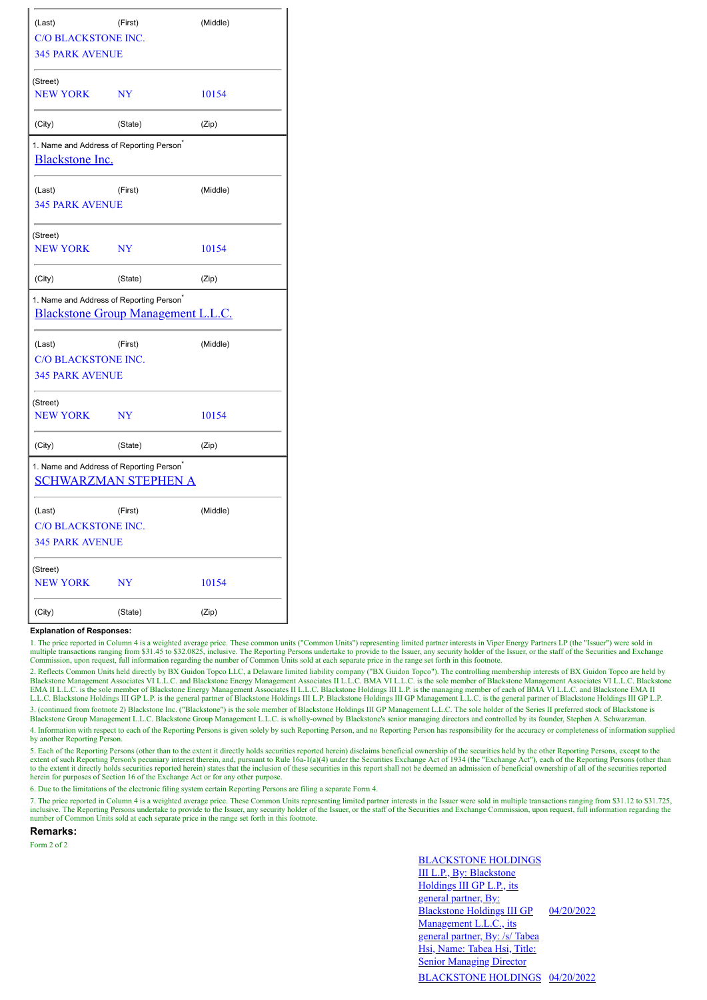| (Last)                                                                         | (Middle)                    |          |  |
|--------------------------------------------------------------------------------|-----------------------------|----------|--|
| <b>C/O BLACKSTONE INC.</b>                                                     |                             |          |  |
| <b>345 PARK AVENUE</b>                                                         |                             |          |  |
| (Street)                                                                       |                             |          |  |
| <b>NEW YORK</b>                                                                | <b>NY</b>                   | 10154    |  |
| (City)                                                                         | (State)                     | (Zip)    |  |
| 1. Name and Address of Reporting Person <sup>*</sup><br><b>Blackstone Inc.</b> |                             |          |  |
|                                                                                |                             |          |  |
| (Last)                                                                         | (First)                     | (Middle) |  |
| <b>345 PARK AVENUE</b>                                                         |                             |          |  |
| (Street)                                                                       |                             |          |  |
| <b>NEW YORK</b>                                                                | <b>NY</b>                   | 10154    |  |
| (City)                                                                         | (State)                     | (Zip)    |  |
| 1. Name and Address of Reporting Person <sup>*</sup>                           |                             |          |  |
| Blackstone Group Management L.L.C.                                             |                             |          |  |
| (Last)                                                                         | (First)                     | (Middle) |  |
| C/O BLACKSTONE INC.                                                            |                             |          |  |
| <b>345 PARK AVENUE</b>                                                         |                             |          |  |
| (Street)                                                                       |                             |          |  |
| <b>NEW YORK</b>                                                                | <b>NY</b>                   | 10154    |  |
| (City)                                                                         | (State)                     | (Zip)    |  |
| 1. Name and Address of Reporting Person <sup>®</sup>                           |                             |          |  |
|                                                                                | <b>SCHWARZMAN STEPHEN A</b> |          |  |
| (Last)                                                                         | (First)                     | (Middle) |  |
| <b>C/O BLACKSTONE INC.</b>                                                     |                             |          |  |
| <b>345 PARK AVENUE</b>                                                         |                             |          |  |
| (Street)                                                                       |                             |          |  |
| <b>NEW YORK</b>                                                                | <b>NY</b>                   | 10154    |  |
| (City)                                                                         | (State)                     | (Zip)    |  |

## **Explanation of Responses:**

1. The price reported in Column 4 is a weighted average price. These common units ("Common Units") representing limited partner interests in Viper Energy Partners LP (the "Issuer") were sold in multiple transactions ranging from \$31.45 to \$32.0825, inclusive. The Reporting Persons undertake to provide to the Issuer, any security holder of the Issuer, or the staff of the Securities and Exchange<br>Commission, upon re

2. Reflects Common Units held directly by BX Guidon Topco LLC, a Delaware limited liability company ("BX Guidon Topco"). The controlling membership interests of BX Guidon Topco are held by<br>Blackstone Management Associates EMA II L.L.C. is the sole member of Blackstone Energy Management Associates II L.L.C. Blackstone Holdings III L.P. is the managing member of each of BMA VI L.L.C. and Blackstone EMA II L.L.C. Blackstone Holdings III GP L.P. is the general partner of Blackstone Holdings III L.P. Blackstone Holdings III GP Management L.L.C. is the general partner of Blackstone Holdings III GP L.P. 3. (continued from footnote 2) Blackstone Inc. ("Blackstone") is the sole member of Blackstone Holdings III GP Management L.L.C. The sole holder of the Series II preferred stock of Blackstone is

Blackstone Group Management L.L.C. Blackstone Group Management L.L.C. is wholly-owned by Blackstone's senior managing directors and controlled by its founder, Stephen A. Schwarzman.

4. Information with respect to each of the Reporting Persons is given solely by such Reporting Person, and no Reporting Person has responsibility for the accuracy or completeness of information supplied by another Reporting Person.

5. Each of the Reporting Persons (other than to the extent it directly holds securities reported herein) disclaims beneficial ownership of the securities held by the other Reporting Persons, except to the extent of such Reporting Person's pecuniary interest therein, and, pursuant to Rule 16a-1(a)(4) under the Securities Exchange Act of 1934 (the "Exchange Act"), each of the Reporting Persons (other than the Reporting Person to the extent it directly holds securities reported herein) states that the inclusion of these securities in this report shall not be deemed an admission of beneficial ownership of all of the securities reported herein for purposes of Section 16 of the Exchange Act or for any other purpose.

6. Due to the limitations of the electronic filing system certain Reporting Persons are filing a separate Form 4.

7. The price reported in Column 4 is a weighted average price. These Common Units representing limited partner interests in the Issuer were sold in multiple transactions ranging from \$31.12 to \$31.725, inclusive. The Reporting Persons undertake to provide to the Issuer, any security holder of the Issuer, or the staff of the Securities and Exchange Commission, upon request, full information regarding the number of Common Units sold at each separate price in the range set forth in this footnote.

**Remarks:**

Form 2 of 2

BLACKSTONE HOLDINGS III L.P., By: Blackstone Holdings III GP L.P., its general partner, By: Blackstone Holdings III GP Management L.L.C., its general partner, By: /s/ Tabea Hsi, Name: Tabea Hsi, Title: **Senior Managing Director** 04/20/2022 BLACKSTONE HOLDINGS 04/20/2022